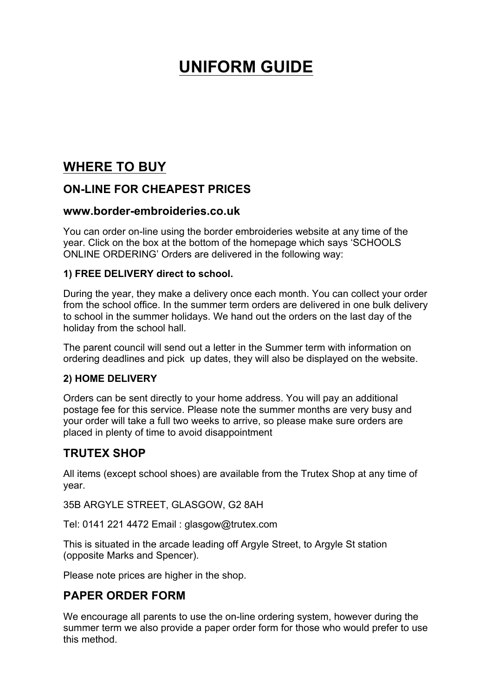# **UNIFORM GUIDE**

# **WHERE TO BUY**

# **ON-LINE FOR CHEAPEST PRICES**

### **www.border-embroideries.co.uk**

You can order on-line using the border embroideries website at any time of the year. Click on the box at the bottom of the homepage which says 'SCHOOLS ONLINE ORDERING' Orders are delivered in the following way:

### **1) FREE DELIVERY direct to school.**

During the year, they make a delivery once each month. You can collect your order from the school office. In the summer term orders are delivered in one bulk delivery to school in the summer holidays. We hand out the orders on the last day of the holiday from the school hall.

The parent council will send out a letter in the Summer term with information on ordering deadlines and pick up dates, they will also be displayed on the website.

### **2) HOME DELIVERY**

Orders can be sent directly to your home address. You will pay an additional postage fee for this service. Please note the summer months are very busy and your order will take a full two weeks to arrive, so please make sure orders are placed in plenty of time to avoid disappointment

# **TRUTEX SHOP**

All items (except school shoes) are available from the Trutex Shop at any time of year.

35B ARGYLE STREET, GLASGOW, G2 8AH

Tel: 0141 221 4472 Email : glasgow@trutex.com

This is situated in the arcade leading off Argyle Street, to Argyle St station (opposite Marks and Spencer).

Please note prices are higher in the shop.

## **PAPER ORDER FORM**

We encourage all parents to use the on-line ordering system, however during the summer term we also provide a paper order form for those who would prefer to use this method.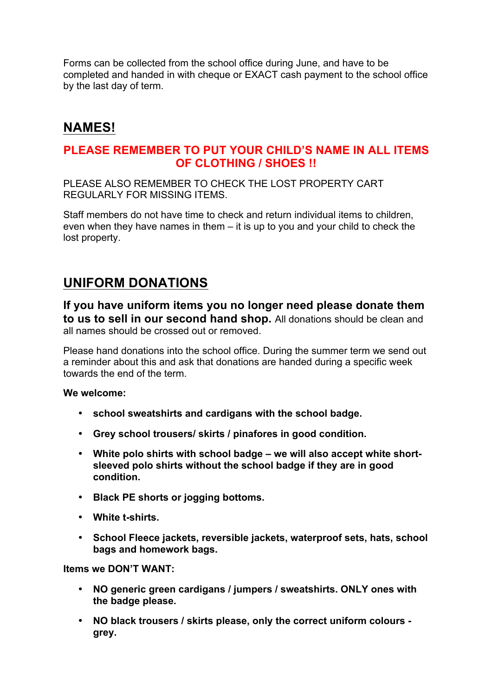Forms can be collected from the school office during June, and have to be completed and handed in with cheque or EXACT cash payment to the school office by the last day of term.

# **NAMES!**

## **PLEASE REMEMBER TO PUT YOUR CHILD'S NAME IN ALL ITEMS OF CLOTHING / SHOES !!**

PLEASE ALSO REMEMBER TO CHECK THE LOST PROPERTY CART REGULARLY FOR MISSING ITEMS.

Staff members do not have time to check and return individual items to children, even when they have names in them – it is up to you and your child to check the lost property.

# **UNIFORM DONATIONS**

**If you have uniform items you no longer need please donate them to us to sell in our second hand shop.** All donations should be clean and all names should be crossed out or removed.

Please hand donations into the school office. During the summer term we send out a reminder about this and ask that donations are handed during a specific week towards the end of the term.

### **We welcome:**

- **school sweatshirts and cardigans with the school badge.**
- **Grey school trousers/ skirts / pinafores in good condition.**
- **White polo shirts with school badge – we will also accept white shortsleeved polo shirts without the school badge if they are in good condition.**
- **Black PE shorts or jogging bottoms.**
- **White t-shirts.**
- **School Fleece jackets, reversible jackets, waterproof sets, hats, school bags and homework bags.**

**Items we DON'T WANT:**

- **NO generic green cardigans / jumpers / sweatshirts. ONLY ones with the badge please.**
- **NO black trousers / skirts please, only the correct uniform colours grey.**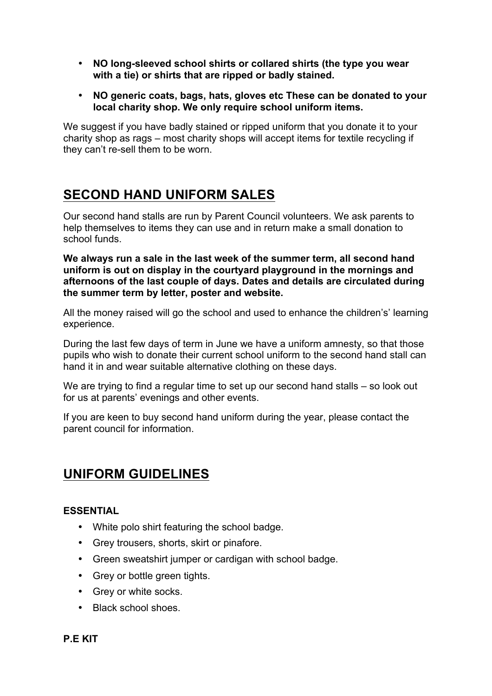- **NO long-sleeved school shirts or collared shirts (the type you wear with a tie) or shirts that are ripped or badly stained.**
- **NO generic coats, bags, hats, gloves etc These can be donated to your local charity shop. We only require school uniform items.**

We suggest if you have badly stained or ripped uniform that you donate it to your charity shop as rags – most charity shops will accept items for textile recycling if they can't re-sell them to be worn.

# **SECOND HAND UNIFORM SALES**

Our second hand stalls are run by Parent Council volunteers. We ask parents to help themselves to items they can use and in return make a small donation to school funds.

**We always run a sale in the last week of the summer term, all second hand uniform is out on display in the courtyard playground in the mornings and afternoons of the last couple of days. Dates and details are circulated during the summer term by letter, poster and website.**

All the money raised will go the school and used to enhance the children's' learning experience.

During the last few days of term in June we have a uniform amnesty, so that those pupils who wish to donate their current school uniform to the second hand stall can hand it in and wear suitable alternative clothing on these days.

We are trying to find a regular time to set up our second hand stalls – so look out for us at parents' evenings and other events.

If you are keen to buy second hand uniform during the year, please contact the parent council for information.

# **UNIFORM GUIDELINES**

### **ESSENTIAL**

- White polo shirt featuring the school badge.
- Grey trousers, shorts, skirt or pinafore.
- Green sweatshirt jumper or cardigan with school badge.
- Grey or bottle green tights.
- Grey or white socks.
- Black school shoes.